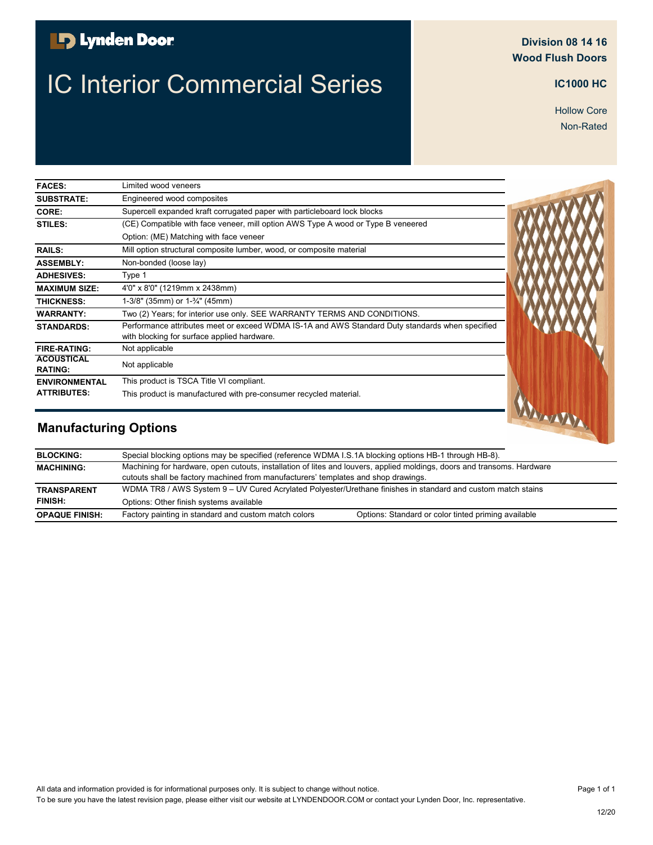### **B** Lynden Door

# **IC Interior Commercial Series <b>IC** 2000 HC<sup>1000 HC</sup>

#### **Division 08 14 16 Wood Flush Doors**

Hollow Core Non-Rated

| <b>FACES:</b>                       | Limited wood veneers                                                                                                                           |  |
|-------------------------------------|------------------------------------------------------------------------------------------------------------------------------------------------|--|
| <b>SUBSTRATE:</b>                   | Engineered wood composites                                                                                                                     |  |
| CORE:                               | Supercell expanded kraft corrugated paper with particleboard lock blocks                                                                       |  |
| STILES:                             | (CE) Compatible with face veneer, mill option AWS Type A wood or Type B veneered                                                               |  |
|                                     | Option: (ME) Matching with face veneer                                                                                                         |  |
| <b>RAILS:</b>                       | Mill option structural composite lumber, wood, or composite material                                                                           |  |
| <b>ASSEMBLY:</b>                    | Non-bonded (loose lay)                                                                                                                         |  |
| <b>ADHESIVES:</b>                   | Type 1                                                                                                                                         |  |
| <b>MAXIMUM SIZE:</b>                | 4'0" x 8'0" (1219mm x 2438mm)                                                                                                                  |  |
| <b>THICKNESS:</b>                   | 1-3/8" (35mm) or 1-3/4" (45mm)                                                                                                                 |  |
| <b>WARRANTY:</b>                    | Two (2) Years; for interior use only. SEE WARRANTY TERMS AND CONDITIONS.                                                                       |  |
| <b>STANDARDS:</b>                   | Performance attributes meet or exceed WDMA IS-1A and AWS Standard Duty standards when specified<br>with blocking for surface applied hardware. |  |
| <b>FIRE-RATING:</b>                 | Not applicable                                                                                                                                 |  |
| <b>ACOUSTICAL</b><br><b>RATING:</b> | Not applicable                                                                                                                                 |  |
| <b>ENVIRONMENTAL</b>                | This product is TSCA Title VI compliant.                                                                                                       |  |
| <b>ATTRIBUTES:</b>                  | This product is manufactured with pre-consumer recycled material.                                                                              |  |
| <b>Manufacturing Options</b>        |                                                                                                                                                |  |

| <b>BLOCKING:</b>      | Special blocking options may be specified (reference WDMA I.S.1A blocking options HB-1 through HB-8).                                                                                                         |  |
|-----------------------|---------------------------------------------------------------------------------------------------------------------------------------------------------------------------------------------------------------|--|
| <b>MACHINING:</b>     | Machining for hardware, open cutouts, installation of lites and louvers, applied moldings, doors and transoms. Hardware<br>cutouts shall be factory machined from manufacturers' templates and shop drawings. |  |
| <b>TRANSPARENT</b>    | WDMA TR8 / AWS System 9 – UV Cured Acrylated Polyester/Urethane finishes in standard and custom match stains                                                                                                  |  |
| <b>FINISH:</b>        | Options: Other finish systems available                                                                                                                                                                       |  |
| <b>OPAQUE FINISH:</b> | Factory painting in standard and custom match colors<br>Options: Standard or color tinted priming available                                                                                                   |  |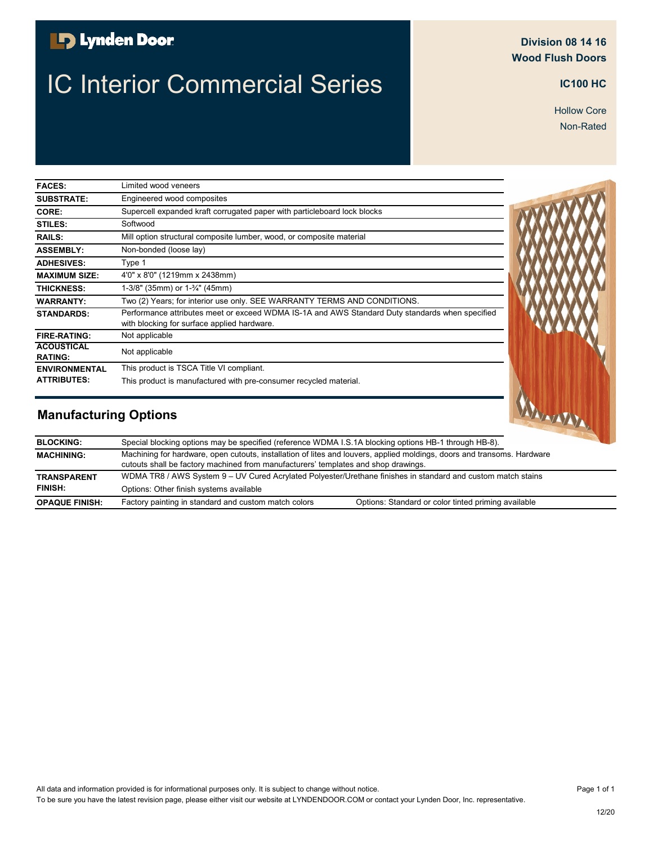### **B** Lynden Door

# **IC Interior Commercial Series <b>IC** 2000 HC<sup>100 HC</sup>

#### **Division 08 14 16 Wood Flush Doors**

Non-Rated Hollow Core

| <b>FACES:</b>                       | Limited wood veneers                                                                                                                           |  |
|-------------------------------------|------------------------------------------------------------------------------------------------------------------------------------------------|--|
| <b>SUBSTRATE:</b>                   | Engineered wood composites                                                                                                                     |  |
| CORE:                               | Supercell expanded kraft corrugated paper with particleboard lock blocks                                                                       |  |
| STILES:                             | Softwood                                                                                                                                       |  |
| <b>RAILS:</b>                       | Mill option structural composite lumber, wood, or composite material                                                                           |  |
| <b>ASSEMBLY:</b>                    | Non-bonded (loose lay)                                                                                                                         |  |
| <b>ADHESIVES:</b>                   | Type 1                                                                                                                                         |  |
| <b>MAXIMUM SIZE:</b>                | 4'0" x 8'0" (1219mm x 2438mm)                                                                                                                  |  |
| <b>THICKNESS:</b>                   | 1-3/8" (35mm) or $1-\frac{3}{4}$ " (45mm)                                                                                                      |  |
| <b>WARRANTY:</b>                    | Two (2) Years; for interior use only. SEE WARRANTY TERMS AND CONDITIONS.                                                                       |  |
| <b>STANDARDS:</b>                   | Performance attributes meet or exceed WDMA IS-1A and AWS Standard Duty standards when specified<br>with blocking for surface applied hardware. |  |
| <b>FIRE-RATING:</b>                 | Not applicable                                                                                                                                 |  |
| <b>ACOUSTICAL</b><br><b>RATING:</b> | Not applicable                                                                                                                                 |  |
| <b>ENVIRONMENTAL</b>                | This product is TSCA Title VI compliant.                                                                                                       |  |
| <b>ATTRIBUTES:</b>                  | This product is manufactured with pre-consumer recycled material.                                                                              |  |

| <b>Manufacturing Options</b>                                                                                                       |                                                                                                                                                                                                               |                                                     | WWWW |
|------------------------------------------------------------------------------------------------------------------------------------|---------------------------------------------------------------------------------------------------------------------------------------------------------------------------------------------------------------|-----------------------------------------------------|------|
| <b>BLOCKING:</b>                                                                                                                   | Special blocking options may be specified (reference WDMA I.S.1A blocking options HB-1 through HB-8).                                                                                                         |                                                     |      |
| <b>MACHINING:</b>                                                                                                                  | Machining for hardware, open cutouts, installation of lites and louvers, applied moldings, doors and transoms. Hardware<br>cutouts shall be factory machined from manufacturers' templates and shop drawings. |                                                     |      |
| WDMA TR8 / AWS System 9 - UV Cured Acrylated Polyester/Urethane finishes in standard and custom match stains<br><b>TRANSPARENT</b> |                                                                                                                                                                                                               |                                                     |      |
| <b>FINISH:</b>                                                                                                                     | Options: Other finish systems available                                                                                                                                                                       |                                                     |      |
| <b>OPAQUE FINISH:</b>                                                                                                              | Factory painting in standard and custom match colors                                                                                                                                                          | Options: Standard or color tinted priming available |      |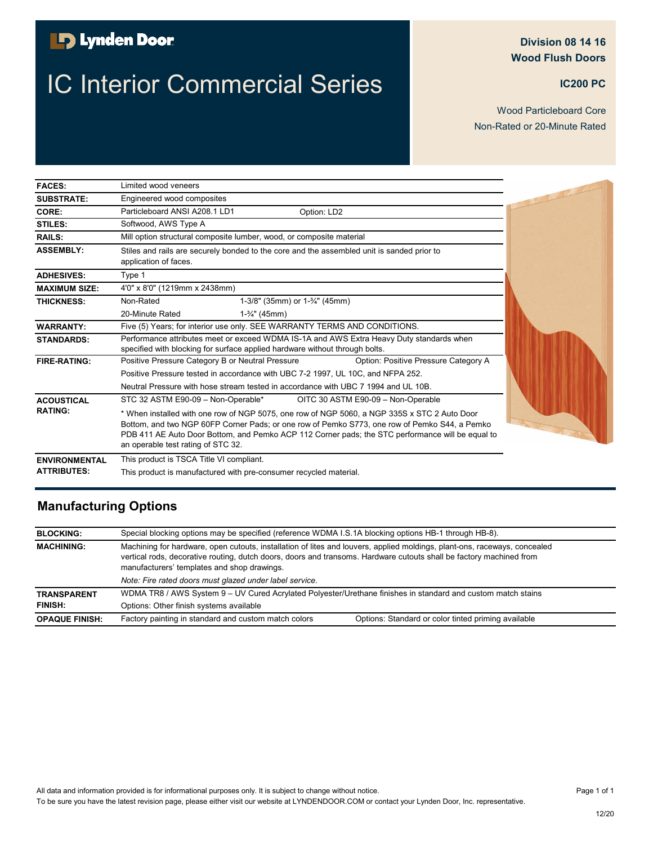## **D** Lynden Door

# **IC Interior Commercial Series <b>IC ICC** Interior Commercial Series

#### **Division 08 14 16 Wood Flush Doors**

Non-Rated or 20-Minute Rated Wood Particleboard Core

| <b>FACES:</b>        | Limited wood veneers                                                                                                                                                                                                                                                                                                                    |  |
|----------------------|-----------------------------------------------------------------------------------------------------------------------------------------------------------------------------------------------------------------------------------------------------------------------------------------------------------------------------------------|--|
| <b>SUBSTRATE:</b>    | Engineered wood composites                                                                                                                                                                                                                                                                                                              |  |
| CORE:                | Particleboard ANSI A208.1 LD1<br>Option: LD2                                                                                                                                                                                                                                                                                            |  |
| STILES:              | Softwood, AWS Type A                                                                                                                                                                                                                                                                                                                    |  |
| <b>RAILS:</b>        | Mill option structural composite lumber, wood, or composite material                                                                                                                                                                                                                                                                    |  |
| <b>ASSEMBLY:</b>     | Stiles and rails are securely bonded to the core and the assembled unit is sanded prior to<br>application of faces.                                                                                                                                                                                                                     |  |
| <b>ADHESIVES:</b>    | Type 1                                                                                                                                                                                                                                                                                                                                  |  |
| <b>MAXIMUM SIZE:</b> | 4'0" x 8'0" (1219mm x 2438mm)                                                                                                                                                                                                                                                                                                           |  |
| <b>THICKNESS:</b>    | Non-Rated<br>1-3/8" (35mm) or $1-\frac{3}{4}$ " (45mm)                                                                                                                                                                                                                                                                                  |  |
|                      | 20-Minute Rated<br>$1-3/4$ " (45mm)                                                                                                                                                                                                                                                                                                     |  |
| <b>WARRANTY:</b>     | Five (5) Years; for interior use only. SEE WARRANTY TERMS AND CONDITIONS.                                                                                                                                                                                                                                                               |  |
| <b>STANDARDS:</b>    | Performance attributes meet or exceed WDMA IS-1A and AWS Extra Heavy Duty standards when<br>specified with blocking for surface applied hardware without through bolts.                                                                                                                                                                 |  |
| <b>FIRE-RATING:</b>  | Positive Pressure Category B or Neutral Pressure<br>Option: Positive Pressure Category A                                                                                                                                                                                                                                                |  |
|                      | Positive Pressure tested in accordance with UBC 7-2 1997, UL 10C, and NFPA 252.                                                                                                                                                                                                                                                         |  |
|                      | Neutral Pressure with hose stream tested in accordance with UBC 7 1994 and UL 10B.                                                                                                                                                                                                                                                      |  |
| <b>ACOUSTICAL</b>    | STC 32 ASTM E90-09 - Non-Operable*<br>OITC 30 ASTM E90-09 - Non-Operable                                                                                                                                                                                                                                                                |  |
| <b>RATING:</b>       | * When installed with one row of NGP 5075, one row of NGP 5060, a NGP 335S x STC 2 Auto Door<br>Bottom, and two NGP 60FP Corner Pads; or one row of Pemko S773, one row of Pemko S44, a Pemko<br>PDB 411 AE Auto Door Bottom, and Pemko ACP 112 Corner pads; the STC performance will be equal to<br>an operable test rating of STC 32. |  |
| <b>ENVIRONMENTAL</b> | This product is TSCA Title VI compliant.                                                                                                                                                                                                                                                                                                |  |
| <b>ATTRIBUTES:</b>   | This product is manufactured with pre-consumer recycled material.                                                                                                                                                                                                                                                                       |  |

| <b>BLOCKING:</b>      | Special blocking options may be specified (reference WDMA I.S.1A blocking options HB-1 through HB-8).                                                                                                                                                                                           |                                                     |
|-----------------------|-------------------------------------------------------------------------------------------------------------------------------------------------------------------------------------------------------------------------------------------------------------------------------------------------|-----------------------------------------------------|
| <b>MACHINING:</b>     | Machining for hardware, open cutouts, installation of lites and louvers, applied moldings, plant-ons, raceways, concealed<br>vertical rods, decorative routing, dutch doors, doors and transoms. Hardware cutouts shall be factory machined from<br>manufacturers' templates and shop drawings. |                                                     |
|                       | Note: Fire rated doors must glazed under label service.                                                                                                                                                                                                                                         |                                                     |
| <b>TRANSPARENT</b>    | WDMA TR8 / AWS System 9 - UV Cured Acrylated Polyester/Urethane finishes in standard and custom match stains                                                                                                                                                                                    |                                                     |
| <b>FINISH:</b>        | Options: Other finish systems available                                                                                                                                                                                                                                                         |                                                     |
| <b>OPAQUE FINISH:</b> | Factory painting in standard and custom match colors                                                                                                                                                                                                                                            | Options: Standard or color tinted priming available |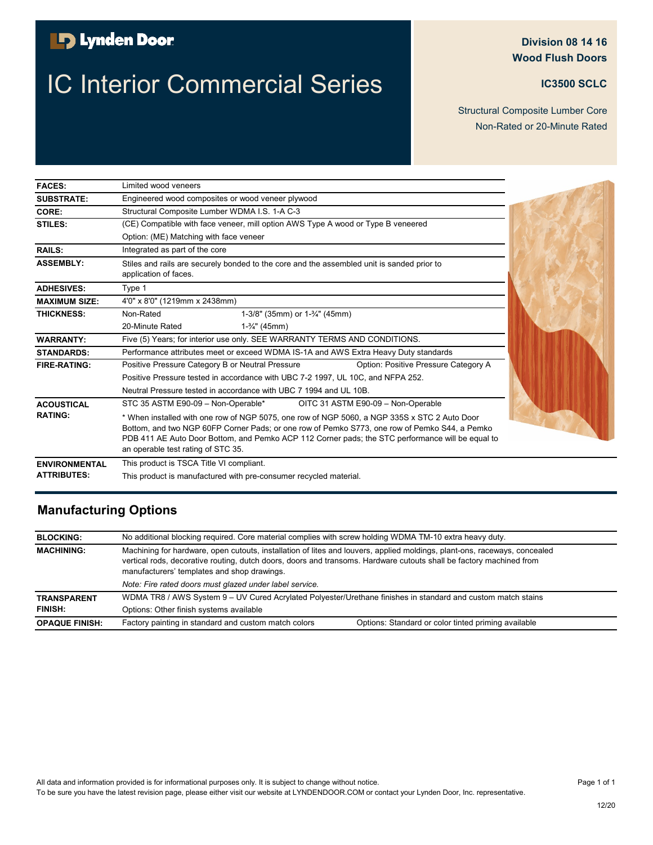## **D** Lynden Door

# **IC Interior Commercial Series <b>IC IC3500 SCLC**

### **Division 08 14 16 Wood Flush Doors**

Structural Composite Lumber Core Non-Rated or 20-Minute Rated

| <b>FACES:</b>        | Limited wood veneers                                                                                                                                                                                                                                                                                                                    |  |  |
|----------------------|-----------------------------------------------------------------------------------------------------------------------------------------------------------------------------------------------------------------------------------------------------------------------------------------------------------------------------------------|--|--|
| <b>SUBSTRATE:</b>    | Engineered wood composites or wood veneer plywood                                                                                                                                                                                                                                                                                       |  |  |
| CORE:                | Structural Composite Lumber WDMA I.S. 1-A C-3                                                                                                                                                                                                                                                                                           |  |  |
| STILES:              | (CE) Compatible with face veneer, mill option AWS Type A wood or Type B veneered                                                                                                                                                                                                                                                        |  |  |
|                      | Option: (ME) Matching with face veneer                                                                                                                                                                                                                                                                                                  |  |  |
| <b>RAILS:</b>        | Integrated as part of the core                                                                                                                                                                                                                                                                                                          |  |  |
| <b>ASSEMBLY:</b>     | Stiles and rails are securely bonded to the core and the assembled unit is sanded prior to<br>application of faces.                                                                                                                                                                                                                     |  |  |
| <b>ADHESIVES:</b>    | Type 1                                                                                                                                                                                                                                                                                                                                  |  |  |
| <b>MAXIMUM SIZE:</b> | 4'0" x 8'0" (1219mm x 2438mm)                                                                                                                                                                                                                                                                                                           |  |  |
| <b>THICKNESS:</b>    | Non-Rated<br>1-3/8" (35mm) or 1-3/4" (45mm)                                                                                                                                                                                                                                                                                             |  |  |
|                      | 20-Minute Rated<br>$1-$ <sup>3</sup> / <sub>4</sub> " (45mm)                                                                                                                                                                                                                                                                            |  |  |
| <b>WARRANTY:</b>     | Five (5) Years; for interior use only. SEE WARRANTY TERMS AND CONDITIONS.                                                                                                                                                                                                                                                               |  |  |
| <b>STANDARDS:</b>    | Performance attributes meet or exceed WDMA IS-1A and AWS Extra Heavy Duty standards                                                                                                                                                                                                                                                     |  |  |
| <b>FIRE-RATING:</b>  | Positive Pressure Category B or Neutral Pressure<br>Option: Positive Pressure Category A                                                                                                                                                                                                                                                |  |  |
|                      | Positive Pressure tested in accordance with UBC 7-2 1997, UL 10C, and NFPA 252.                                                                                                                                                                                                                                                         |  |  |
|                      | Neutral Pressure tested in accordance with UBC 7 1994 and UL 10B.                                                                                                                                                                                                                                                                       |  |  |
| <b>ACOUSTICAL</b>    | STC 35 ASTM E90-09 - Non-Operable*<br>OITC 31 ASTM E90-09 - Non-Operable                                                                                                                                                                                                                                                                |  |  |
| <b>RATING:</b>       | * When installed with one row of NGP 5075, one row of NGP 5060, a NGP 335S x STC 2 Auto Door<br>Bottom, and two NGP 60FP Corner Pads; or one row of Pemko S773, one row of Pemko S44, a Pemko<br>PDB 411 AE Auto Door Bottom, and Pemko ACP 112 Corner pads; the STC performance will be equal to<br>an operable test rating of STC 35. |  |  |
| <b>ENVIRONMENTAL</b> | This product is TSCA Title VI compliant.                                                                                                                                                                                                                                                                                                |  |  |
| <b>ATTRIBUTES:</b>   | This product is manufactured with pre-consumer recycled material.                                                                                                                                                                                                                                                                       |  |  |

### **Manufacturing Options**

| <b>BLOCKING:</b>      | No additional blocking required. Core material complies with screw holding WDMA TM-10 extra heavy duty.                                                                                                                                                                                         |                                                     |
|-----------------------|-------------------------------------------------------------------------------------------------------------------------------------------------------------------------------------------------------------------------------------------------------------------------------------------------|-----------------------------------------------------|
| <b>MACHINING:</b>     | Machining for hardware, open cutouts, installation of lites and louvers, applied moldings, plant-ons, raceways, concealed<br>vertical rods, decorative routing, dutch doors, doors and transoms. Hardware cutouts shall be factory machined from<br>manufacturers' templates and shop drawings. |                                                     |
|                       | Note: Fire rated doors must glazed under label service.                                                                                                                                                                                                                                         |                                                     |
| <b>TRANSPARENT</b>    | WDMA TR8 / AWS System 9 – UV Cured Acrylated Polyester/Urethane finishes in standard and custom match stains                                                                                                                                                                                    |                                                     |
| <b>FINISH:</b>        | Options: Other finish systems available                                                                                                                                                                                                                                                         |                                                     |
| <b>OPAQUE FINISH:</b> | Factory painting in standard and custom match colors                                                                                                                                                                                                                                            | Options: Standard or color tinted priming available |

All data and information provided is for informational purposes only. It is subject to change without notice. To be sure you have the latest revision page, please either visit our website at LYNDENDOOR.COM or contact your Lynden Door, Inc. representative.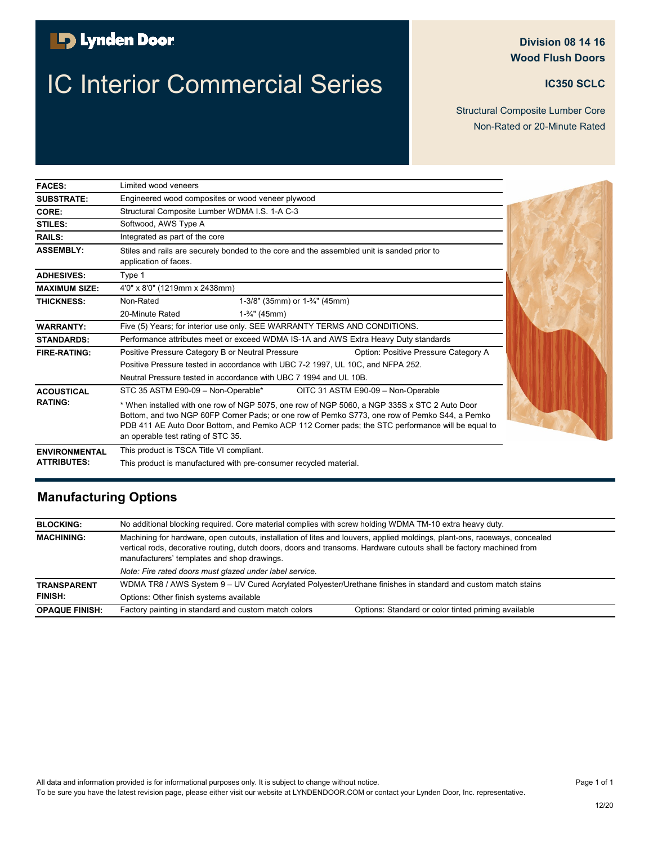### **B** Lynden Door

# **IC Interior Commercial Series <b>IC INCLUS** IC350 SCLC

#### **Division 08 14 16 Wood Flush Doors**

Non-Rated or 20-Minute Rated Structural Composite Lumber Core

| <b>FACES:</b>        | Limited wood veneers                                                                                                                                                                                                                                                                                                                    |  |
|----------------------|-----------------------------------------------------------------------------------------------------------------------------------------------------------------------------------------------------------------------------------------------------------------------------------------------------------------------------------------|--|
| <b>SUBSTRATE:</b>    | Engineered wood composites or wood veneer plywood                                                                                                                                                                                                                                                                                       |  |
| CORE:                | Structural Composite Lumber WDMA I.S. 1-A C-3                                                                                                                                                                                                                                                                                           |  |
| STILES:              | Softwood, AWS Type A                                                                                                                                                                                                                                                                                                                    |  |
| <b>RAILS:</b>        | Integrated as part of the core                                                                                                                                                                                                                                                                                                          |  |
| <b>ASSEMBLY:</b>     | Stiles and rails are securely bonded to the core and the assembled unit is sanded prior to<br>application of faces.                                                                                                                                                                                                                     |  |
| <b>ADHESIVES:</b>    | Type 1                                                                                                                                                                                                                                                                                                                                  |  |
| <b>MAXIMUM SIZE:</b> | 4'0" x 8'0" (1219mm x 2438mm)                                                                                                                                                                                                                                                                                                           |  |
| <b>THICKNESS:</b>    | Non-Rated<br>1-3/8" (35mm) or 1-3/4" (45mm)                                                                                                                                                                                                                                                                                             |  |
|                      | 20-Minute Rated<br>$1-3/4$ " (45mm)                                                                                                                                                                                                                                                                                                     |  |
| <b>WARRANTY:</b>     | Five (5) Years; for interior use only. SEE WARRANTY TERMS AND CONDITIONS.                                                                                                                                                                                                                                                               |  |
| <b>STANDARDS:</b>    | Performance attributes meet or exceed WDMA IS-1A and AWS Extra Heavy Duty standards                                                                                                                                                                                                                                                     |  |
| <b>FIRE-RATING:</b>  | Option: Positive Pressure Category A<br>Positive Pressure Category B or Neutral Pressure                                                                                                                                                                                                                                                |  |
|                      | Positive Pressure tested in accordance with UBC 7-2 1997, UL 10C, and NFPA 252.                                                                                                                                                                                                                                                         |  |
|                      | Neutral Pressure tested in accordance with UBC 7 1994 and UL 10B.                                                                                                                                                                                                                                                                       |  |
| <b>ACOUSTICAL</b>    | STC 35 ASTM E90-09 - Non-Operable*<br>OITC 31 ASTM E90-09 - Non-Operable                                                                                                                                                                                                                                                                |  |
| <b>RATING:</b>       | * When installed with one row of NGP 5075, one row of NGP 5060, a NGP 335S x STC 2 Auto Door<br>Bottom, and two NGP 60FP Corner Pads; or one row of Pemko S773, one row of Pemko S44, a Pemko<br>PDB 411 AE Auto Door Bottom, and Pemko ACP 112 Corner pads; the STC performance will be equal to<br>an operable test rating of STC 35. |  |
| <b>ENVIRONMENTAL</b> | This product is TSCA Title VI compliant.                                                                                                                                                                                                                                                                                                |  |
| <b>ATTRIBUTES:</b>   | This product is manufactured with pre-consumer recycled material.                                                                                                                                                                                                                                                                       |  |

| <b>BLOCKING:</b>      | No additional blocking required. Core material complies with screw holding WDMA TM-10 extra heavy duty.                                                                                                                                                                                         |                                                     |
|-----------------------|-------------------------------------------------------------------------------------------------------------------------------------------------------------------------------------------------------------------------------------------------------------------------------------------------|-----------------------------------------------------|
| <b>MACHINING:</b>     | Machining for hardware, open cutouts, installation of lites and louvers, applied moldings, plant-ons, raceways, concealed<br>vertical rods, decorative routing, dutch doors, doors and transoms. Hardware cutouts shall be factory machined from<br>manufacturers' templates and shop drawings. |                                                     |
|                       | Note: Fire rated doors must glazed under label service.                                                                                                                                                                                                                                         |                                                     |
| <b>TRANSPARENT</b>    | WDMA TR8 / AWS System 9 - UV Cured Acrylated Polyester/Urethane finishes in standard and custom match stains                                                                                                                                                                                    |                                                     |
| <b>FINISH:</b>        | Options: Other finish systems available                                                                                                                                                                                                                                                         |                                                     |
| <b>OPAQUE FINISH:</b> | Factory painting in standard and custom match colors                                                                                                                                                                                                                                            | Options: Standard or color tinted priming available |